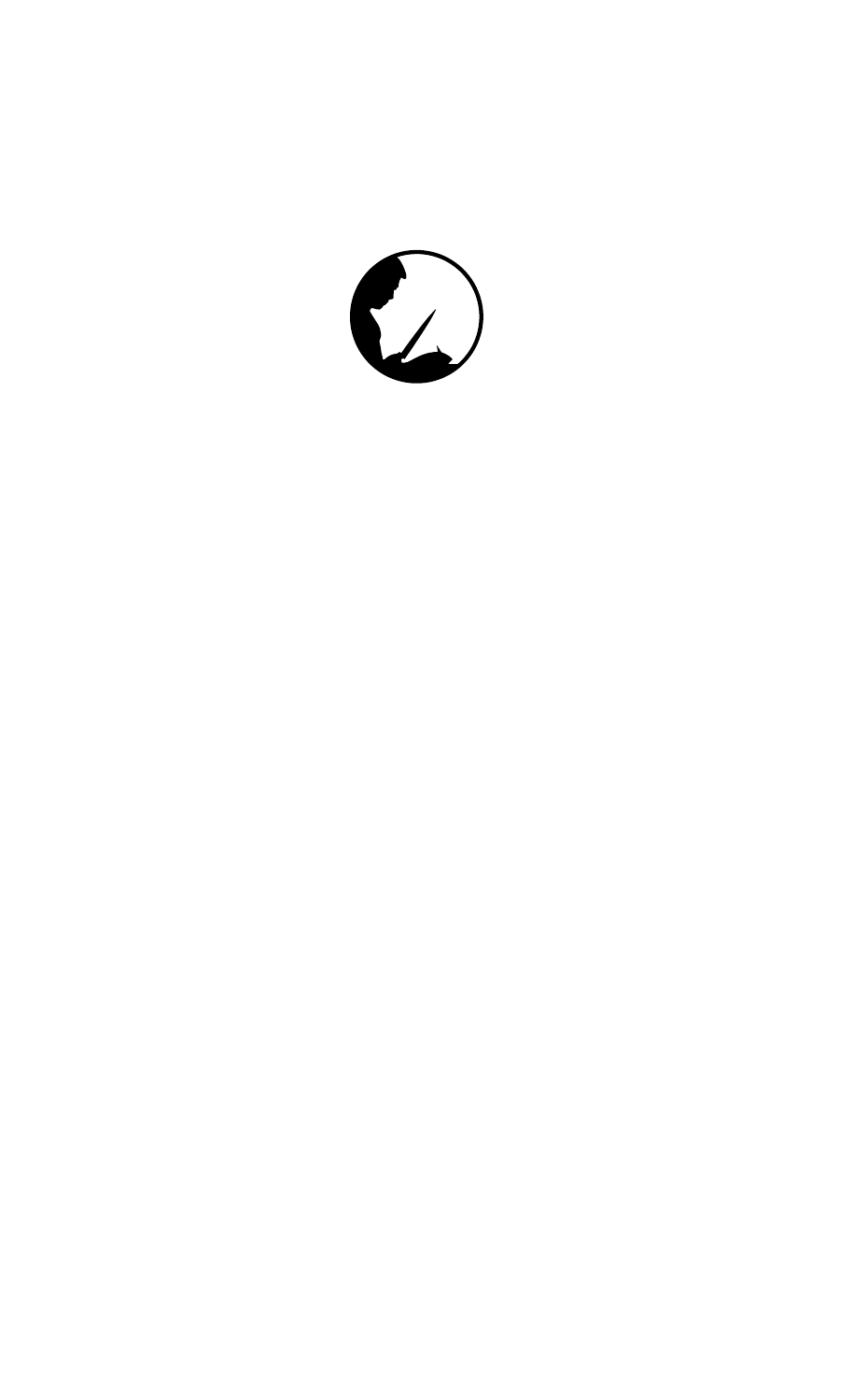$\mathbf{Q}$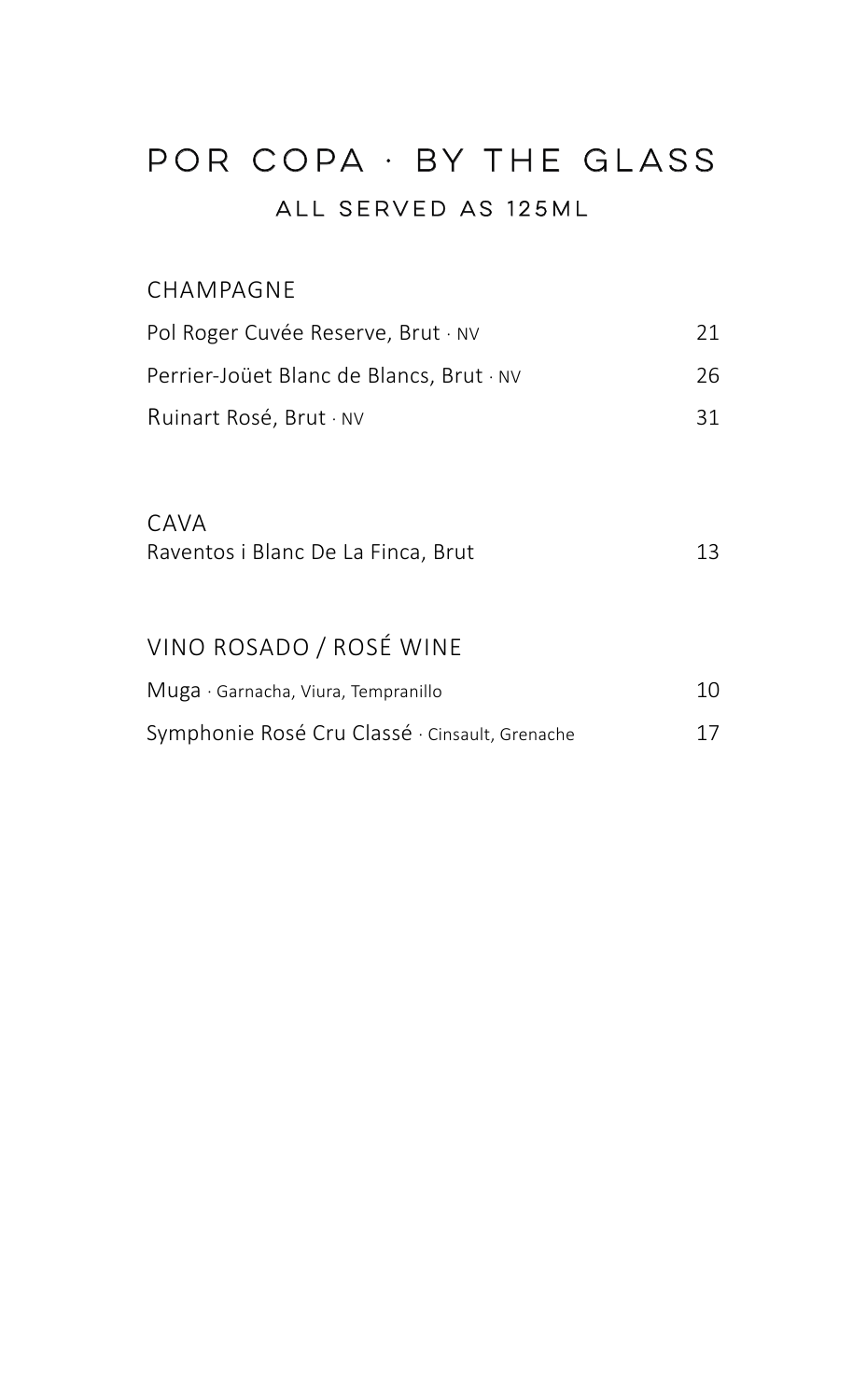# POR COPA · BY THE GLASS ALL SERVED AS 125ML

#### CHAMPAGNE

| Pol Roger Cuvée Reserve, Brut · NV     | 21. |
|----------------------------------------|-----|
| Perrier-Joüet Blanc de Blancs, Brut NV | 26  |
| Ruinart Rosé, Brut · NV                | 31  |

#### CAVA Raventos i Blanc De La Finca, Brut 13

## VINO ROSADO / ROSÉ WINE

| Muga · Garnacha, Viura, Tempranillo            | 10 |
|------------------------------------------------|----|
| Symphonie Rosé Cru Classé · Cinsault, Grenache | 17 |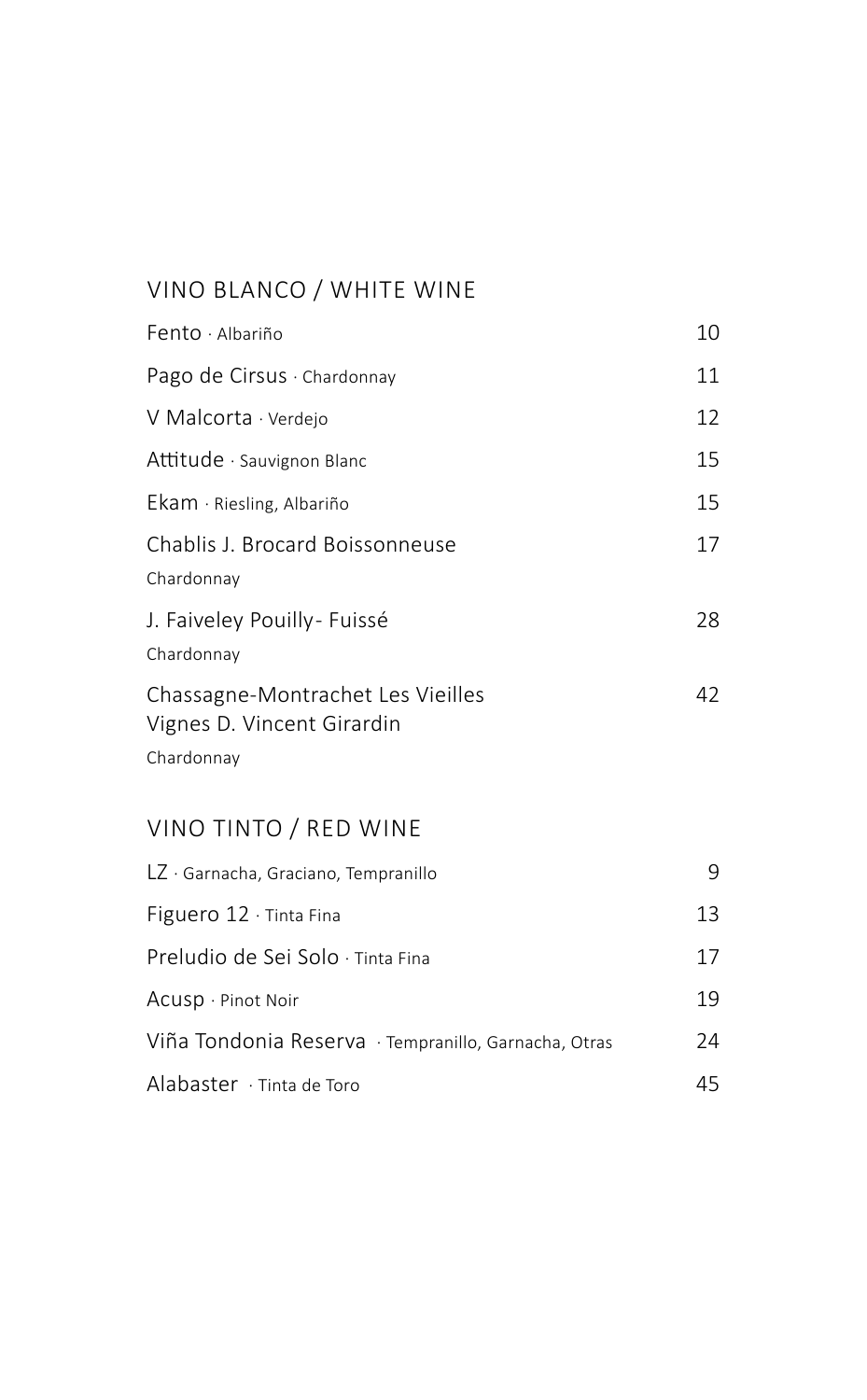## VINO BLANCO / WHITE WINE

| Fento - Albariño                                                | 10 |
|-----------------------------------------------------------------|----|
| Pago de Cirsus Chardonnay                                       | 11 |
| V Malcorta · Verdejo                                            | 12 |
| Attitude · Sauvignon Blanc                                      | 15 |
| Ekam · Riesling, Albariño                                       | 15 |
| Chablis J. Brocard Boissonneuse<br>Chardonnay                   | 17 |
| J. Faiveley Pouilly - Fuissé<br>Chardonnay                      | 28 |
| Chassagne-Montrachet Les Vieilles<br>Vignes D. Vincent Girardin | 42 |
| Chardonnay                                                      |    |

## VINO TINTO / RED WINE

| LZ · Garnacha, Graciano, Tempranillo               | q   |
|----------------------------------------------------|-----|
| Figuero 12 · Tinta Fina                            | 13  |
| Preludio de Sei Solo Tinta Fina                    | 17  |
| Acusp · Pinot Noir                                 | 19  |
| Viña Tondonia Reserva Tempranillo, Garnacha, Otras | 24  |
| Alabaster · Tinta de Toro                          | 45. |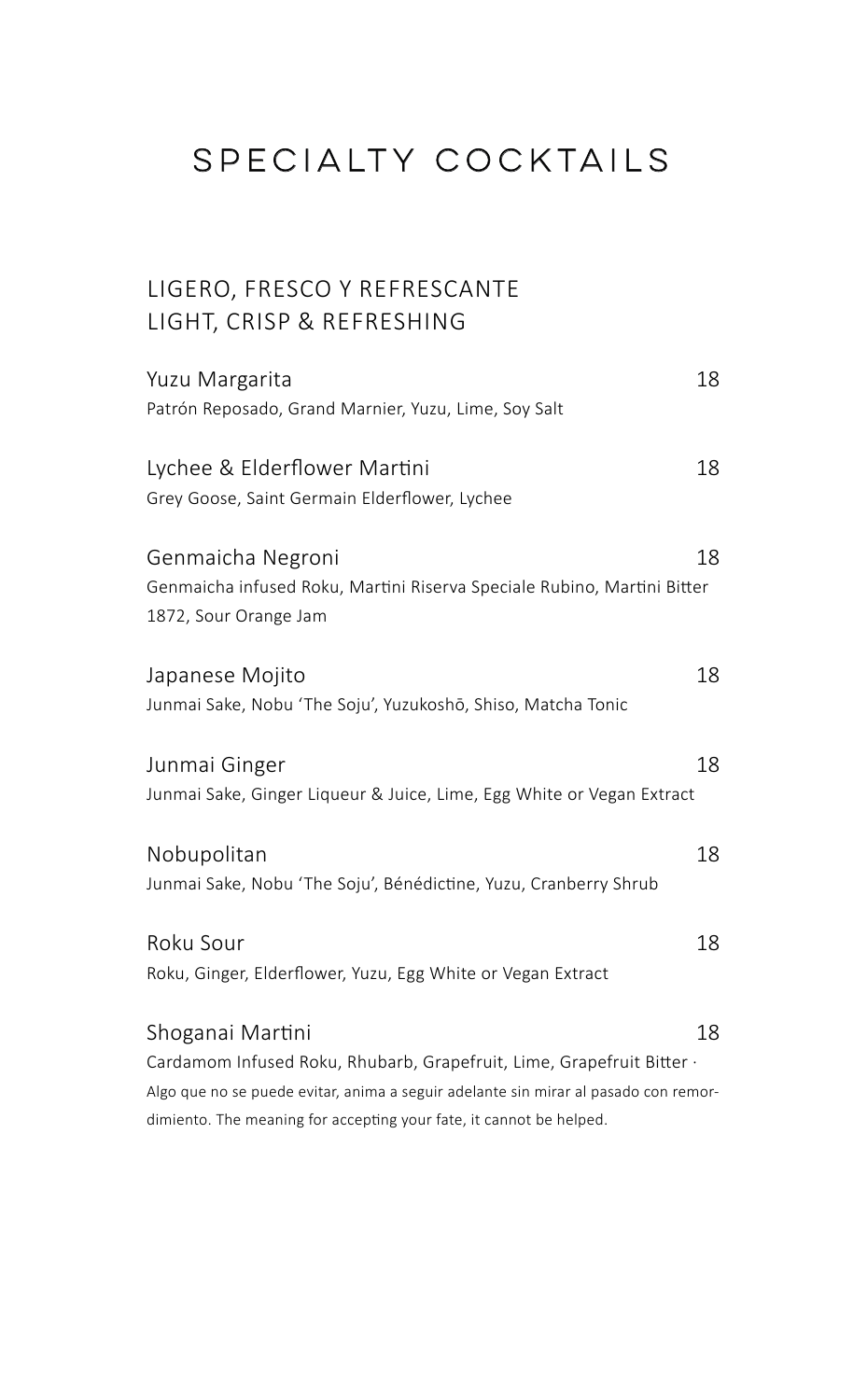# SPECIALTY COCKTAILS

## LIGERO, FRESCO Y REFRESCANTE LIGHT, CRISP & REFRESHING

| Yuzu Margarita                                                                                                                                                                   | 18 |
|----------------------------------------------------------------------------------------------------------------------------------------------------------------------------------|----|
| Patrón Reposado, Grand Marnier, Yuzu, Lime, Soy Salt                                                                                                                             |    |
| Lychee & Elderflower Martini                                                                                                                                                     | 18 |
| Grey Goose, Saint Germain Elderflower, Lychee                                                                                                                                    |    |
| Genmaicha Negroni<br>Genmaicha infused Roku, Martini Riserva Speciale Rubino, Martini Bitter<br>1872, Sour Orange Jam                                                            | 18 |
| Japanese Mojito<br>Junmai Sake, Nobu 'The Soju', Yuzukoshō, Shiso, Matcha Tonic                                                                                                  | 18 |
| Junmai Ginger<br>Junmai Sake, Ginger Liqueur & Juice, Lime, Egg White or Vegan Extract                                                                                           | 18 |
| Nobupolitan<br>Junmai Sake, Nobu 'The Soju', Bénédictine, Yuzu, Cranberry Shrub                                                                                                  | 18 |
| Roku Sour<br>Roku, Ginger, Elderflower, Yuzu, Egg White or Vegan Extract                                                                                                         | 18 |
| Shoganai Martini<br>Cardamom Infused Roku, Rhubarb, Grapefruit, Lime, Grapefruit Bitter ·<br>Algo que no se puede evitar, anima a seguir adelante sin mirar al pasado con remor- | 18 |
| dimiento. The meaning for accepting your fate, it cannot be helped.                                                                                                              |    |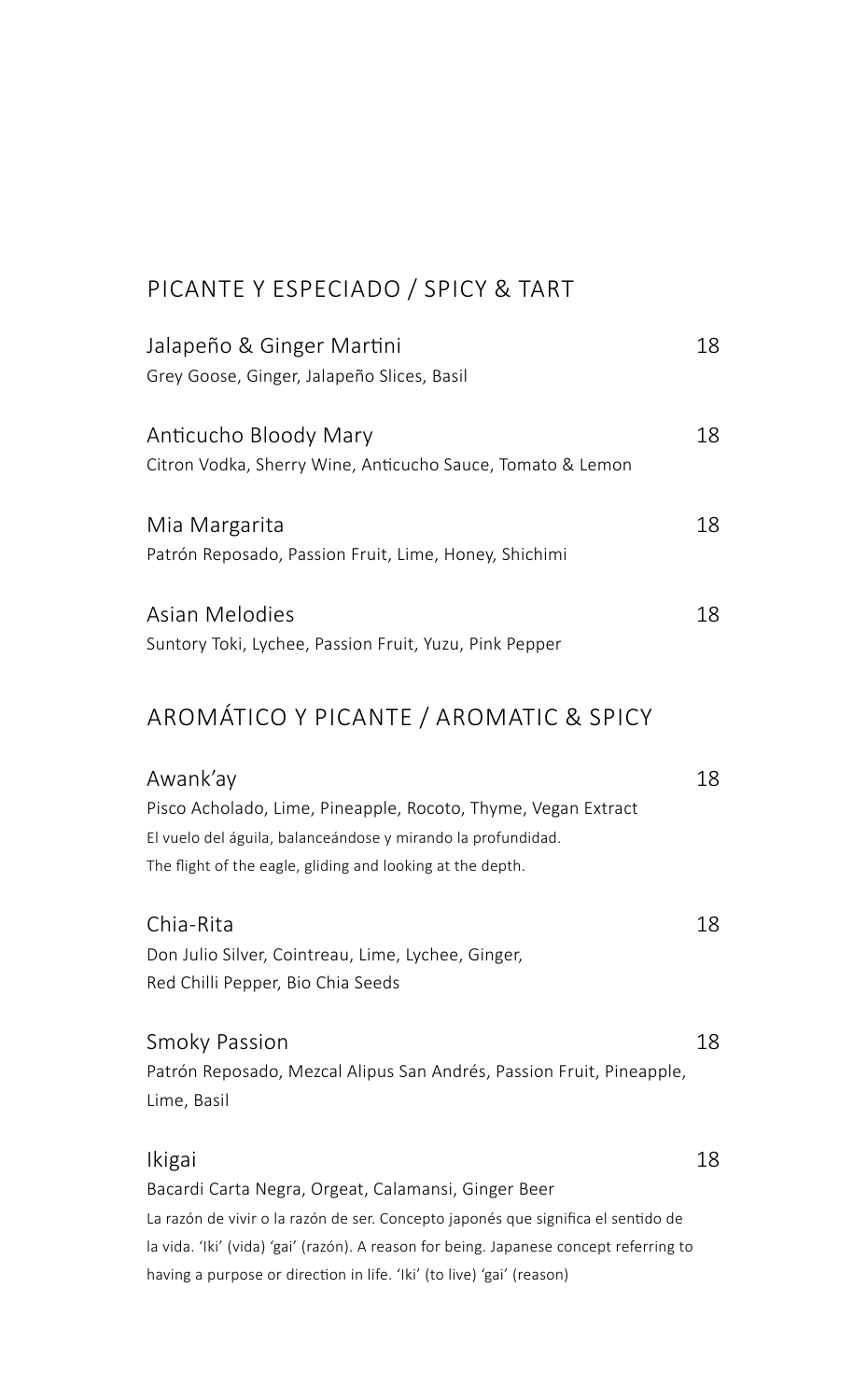## PICANTE Y ESPECIADO / SPICY & TART

| Jalapeño & Ginger Martini                                  | 18 |
|------------------------------------------------------------|----|
| Grey Goose, Ginger, Jalapeño Slices, Basil                 |    |
| Anticucho Bloody Mary                                      | 18 |
| Citron Vodka, Sherry Wine, Anticucho Sauce, Tomato & Lemon |    |
| Mia Margarita                                              | 18 |
| Patrón Reposado, Passion Fruit, Lime, Honey, Shichimi      |    |
| Asian Melodies                                             | 18 |
| Suntory Toki, Lychee, Passion Fruit, Yuzu, Pink Pepper     |    |

## AROMÁTICO Y PICANTE / AROMATIC & SPICY

| Awank'ay                                                                               | 18 |
|----------------------------------------------------------------------------------------|----|
| Pisco Acholado, Lime, Pineapple, Rocoto, Thyme, Vegan Extract                          |    |
| El vuelo del águila, balanceándose y mirando la profundidad.                           |    |
| The flight of the eagle, gliding and looking at the depth.                             |    |
| Chia-Rita                                                                              | 18 |
| Don Julio Silver, Cointreau, Lime, Lychee, Ginger,                                     |    |
| Red Chilli Pepper, Bio Chia Seeds                                                      |    |
| Smoky Passion                                                                          | 18 |
| Patrón Reposado, Mezcal Alipus San Andrés, Passion Fruit, Pineapple,                   |    |
| Lime, Basil                                                                            |    |
| <b>Ikigai</b>                                                                          | 18 |
| Bacardi Carta Negra, Orgeat, Calamansi, Ginger Beer                                    |    |
| La razón de vivir o la razón de ser. Concepto japonés que significa el sentido de      |    |
| la vida. 'Iki' (vida) 'gai' (razón). A reason for being. Japanese concept referring to |    |
| having a purpose or direction in life. 'Iki' (to live) 'gai' (reason)                  |    |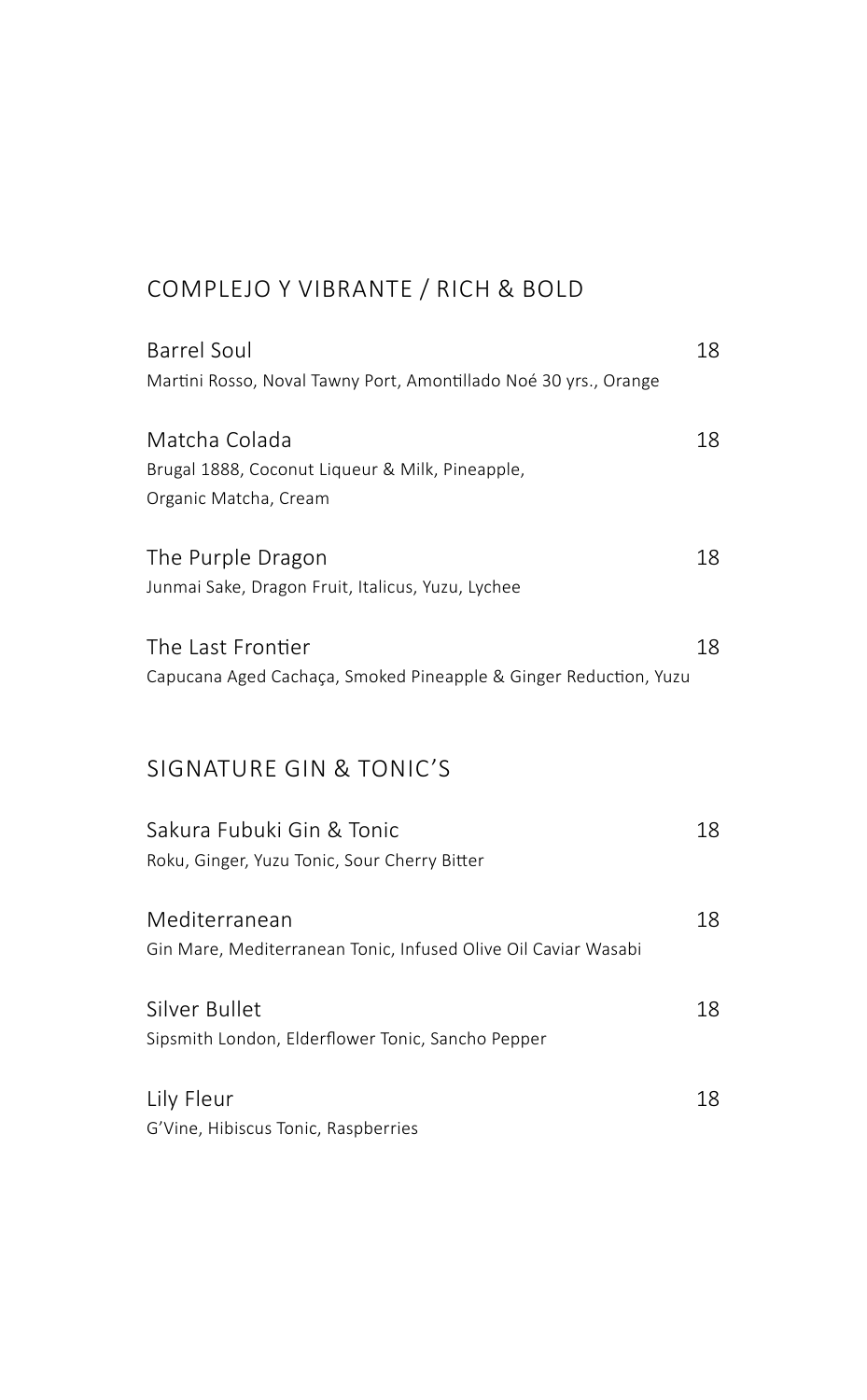## COMPLEJO Y VIBRANTE / RICH & BOLD

| Barrel Soul                                                                               | 18 |
|-------------------------------------------------------------------------------------------|----|
| Martini Rosso, Noval Tawny Port, Amontillado Noé 30 yrs., Orange                          |    |
| Matcha Colada<br>Brugal 1888, Coconut Liqueur & Milk, Pineapple,<br>Organic Matcha, Cream | 18 |
| The Purple Dragon<br>Junmai Sake, Dragon Fruit, Italicus, Yuzu, Lychee                    | 18 |
| The Last Frontier<br>Capucana Aged Cachaça, Smoked Pineapple & Ginger Reduction, Yuzu     | 18 |
| <b>SIGNATURE GIN &amp; TONIC'S</b>                                                        |    |
| Sakura Fubuki Gin & Tonic<br>Roku, Ginger, Yuzu Tonic, Sour Cherry Bitter                 | 18 |
| Mediterranean<br>Gin Mare, Mediterranean Tonic, Infused Olive Oil Caviar Wasabi           | 18 |
| Silver Bullet<br>Sipsmith London, Elderflower Tonic, Sancho Pepper                        | 18 |
| Lily Fleur<br>G'Vine, Hibiscus Tonic, Raspberries                                         | 18 |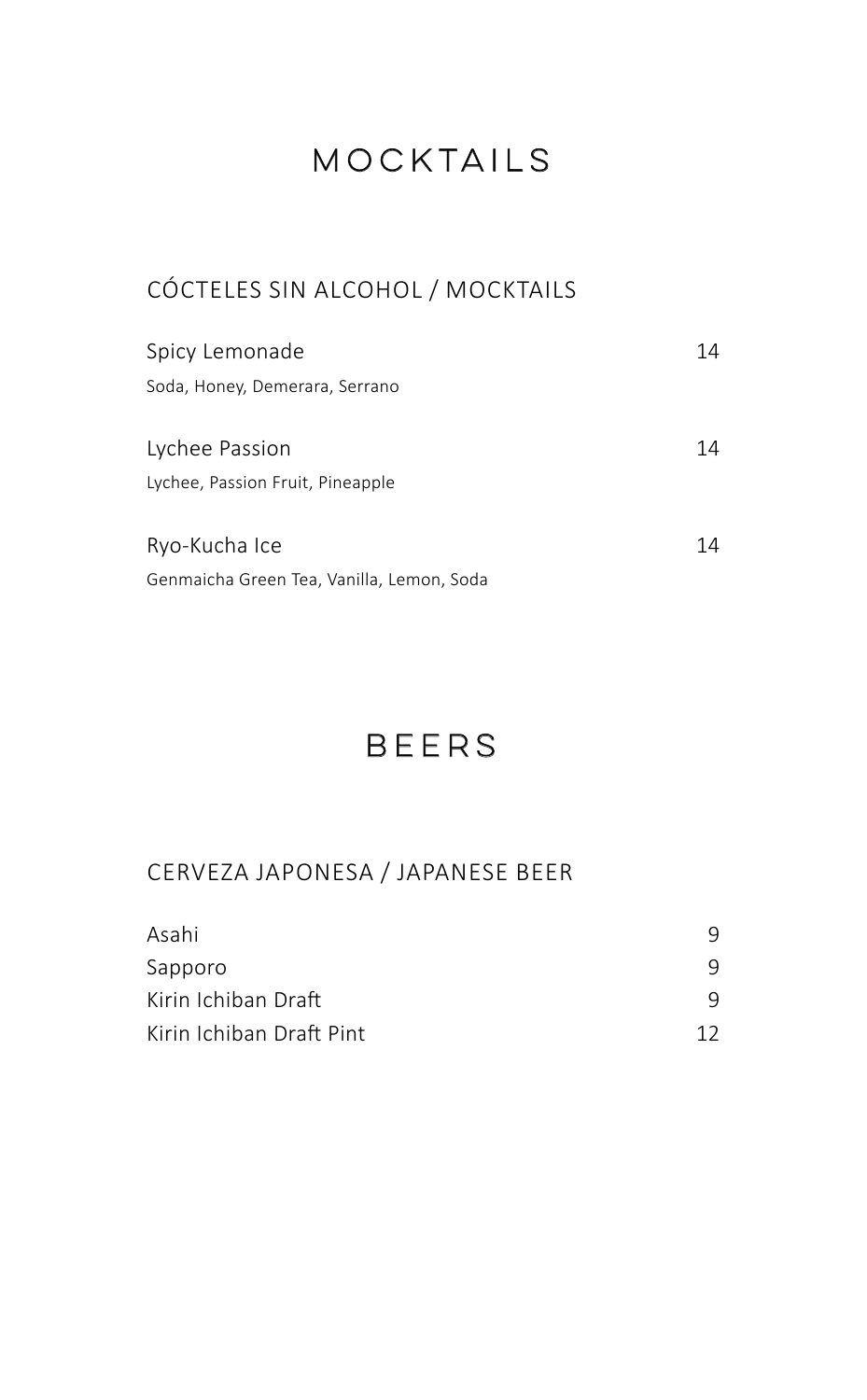# MOCKTAILS

## CÓCTELES SIN ALCOHOL / MOCKTAILS

| Spicy Lemonade                            | 14 |
|-------------------------------------------|----|
| Soda, Honey, Demerara, Serrano            |    |
| Lychee Passion                            | 14 |
| Lychee, Passion Fruit, Pineapple          |    |
| Ryo-Kucha Ice                             | 14 |
| Genmaicha Green Tea, Vanilla, Lemon, Soda |    |

## BEERS

### CERVEZA JAPONESA / JAPANESE BEER

| Asahi                    | 9  |
|--------------------------|----|
| Sapporo                  | 9  |
| Kirin Ichiban Draft      | 9  |
| Kirin Ichiban Draft Pint | 12 |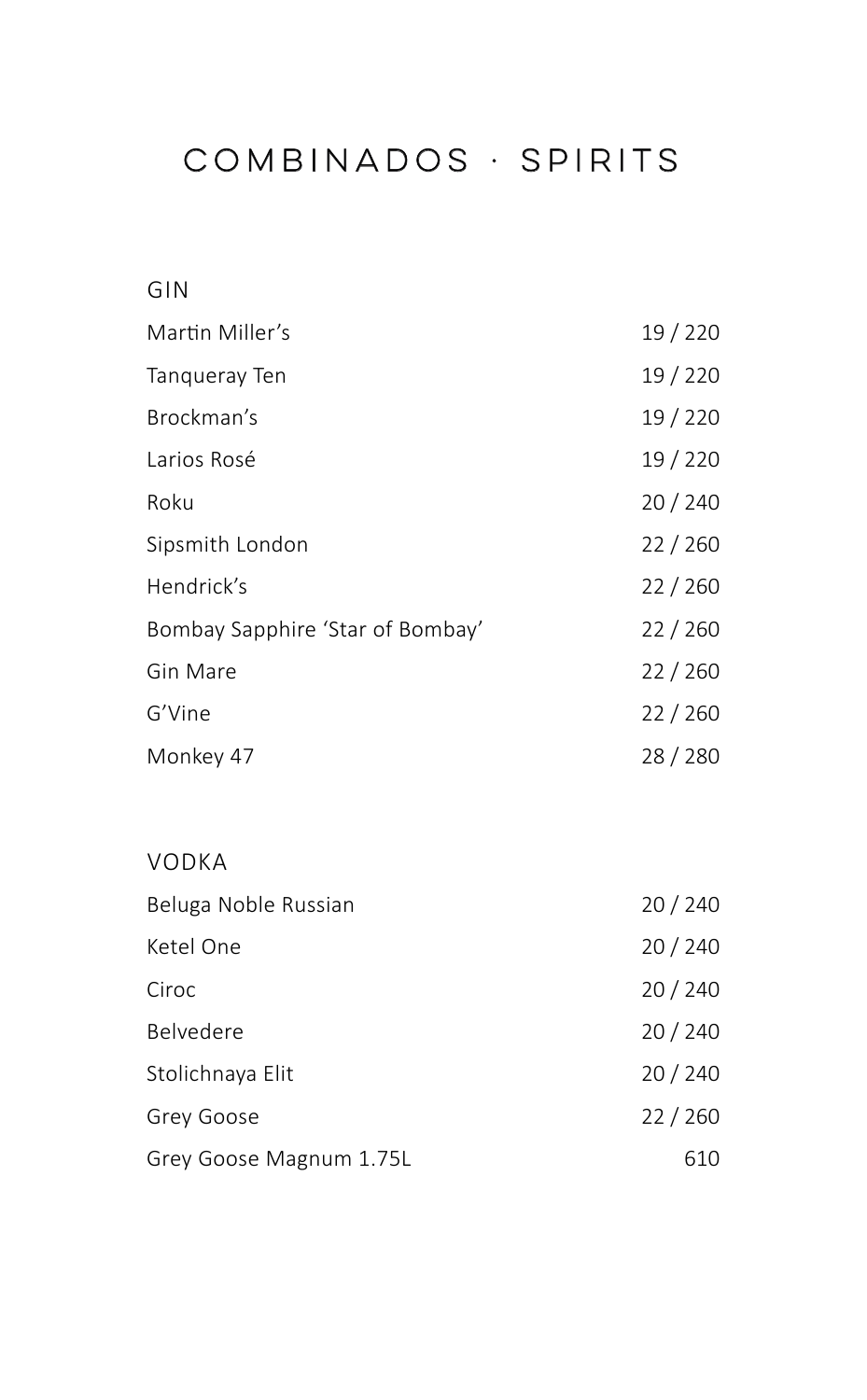# COMBINADOS · SPIRITS

GIN

| Martin Miller's                  | 19/220 |
|----------------------------------|--------|
| Tanqueray Ten                    | 19/220 |
| Brockman's                       | 19/220 |
| Larios Rosé                      | 19/220 |
| Roku                             | 20/240 |
| Sipsmith London                  | 22/260 |
| Hendrick's                       | 22/260 |
| Bombay Sapphire 'Star of Bombay' | 22/260 |
| <b>Gin Mare</b>                  | 22/260 |
| G'Vine                           | 22/260 |
| Monkey 47                        | 28/280 |
|                                  |        |

VODKA

| Beluga Noble Russian    | 20/240 |
|-------------------------|--------|
| Ketel One               | 20/240 |
| Ciroc                   | 20/240 |
| <b>Belvedere</b>        | 20/240 |
| Stolichnaya Elit        | 20/240 |
| Grey Goose              | 22/260 |
| Grey Goose Magnum 1.75L | 610    |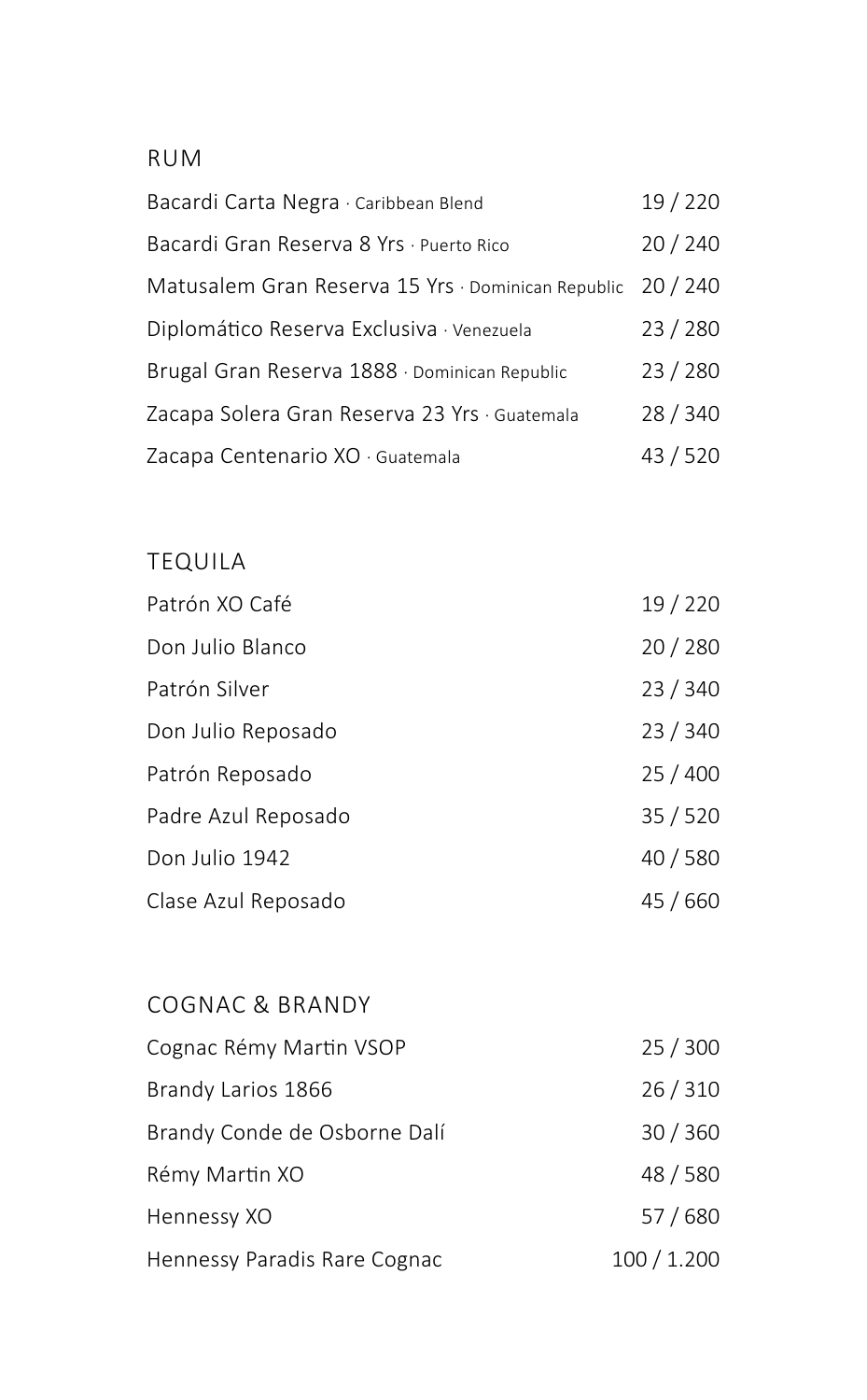#### RUM

| Bacardi Carta Negra · Caribbean Blend                       | 19/220 |
|-------------------------------------------------------------|--------|
| Bacardi Gran Reserva 8 Yrs · Puerto Rico                    | 20/240 |
| Matusalem Gran Reserva 15 Yrs · Dominican Republic 20 / 240 |        |
| Diplomático Reserva Exclusiva · Venezuela                   | 23/280 |
| Brugal Gran Reserva 1888 · Dominican Republic               | 23/280 |
| Zacapa Solera Gran Reserva 23 Yrs · Guatemala               | 28/340 |
| Zacapa Centenario XO · Guatemala                            | 43/520 |

#### TEQUILA

| Patrón XO Café      | 19/220   |
|---------------------|----------|
| Don Julio Blanco    | 20/280   |
| Patrón Silver       | 23/340   |
| Don Julio Reposado  | 23/340   |
| Patrón Reposado     | 25/400   |
| Padre Azul Reposado | 35/520   |
| Don Julio 1942      | 40 / 580 |
| Clase Azul Reposado | 45/660   |

#### COGNAC & BRANDY

| Cognac Rémy Martin VSOP      | 25/300      |
|------------------------------|-------------|
| Brandy Larios 1866           | 26/310      |
| Brandy Conde de Osborne Dalí | 30/360      |
| Rémy Martin XO               | 48/580      |
| Hennessy XO                  | 57/680      |
| Hennessy Paradis Rare Cognac | 100 / 1.200 |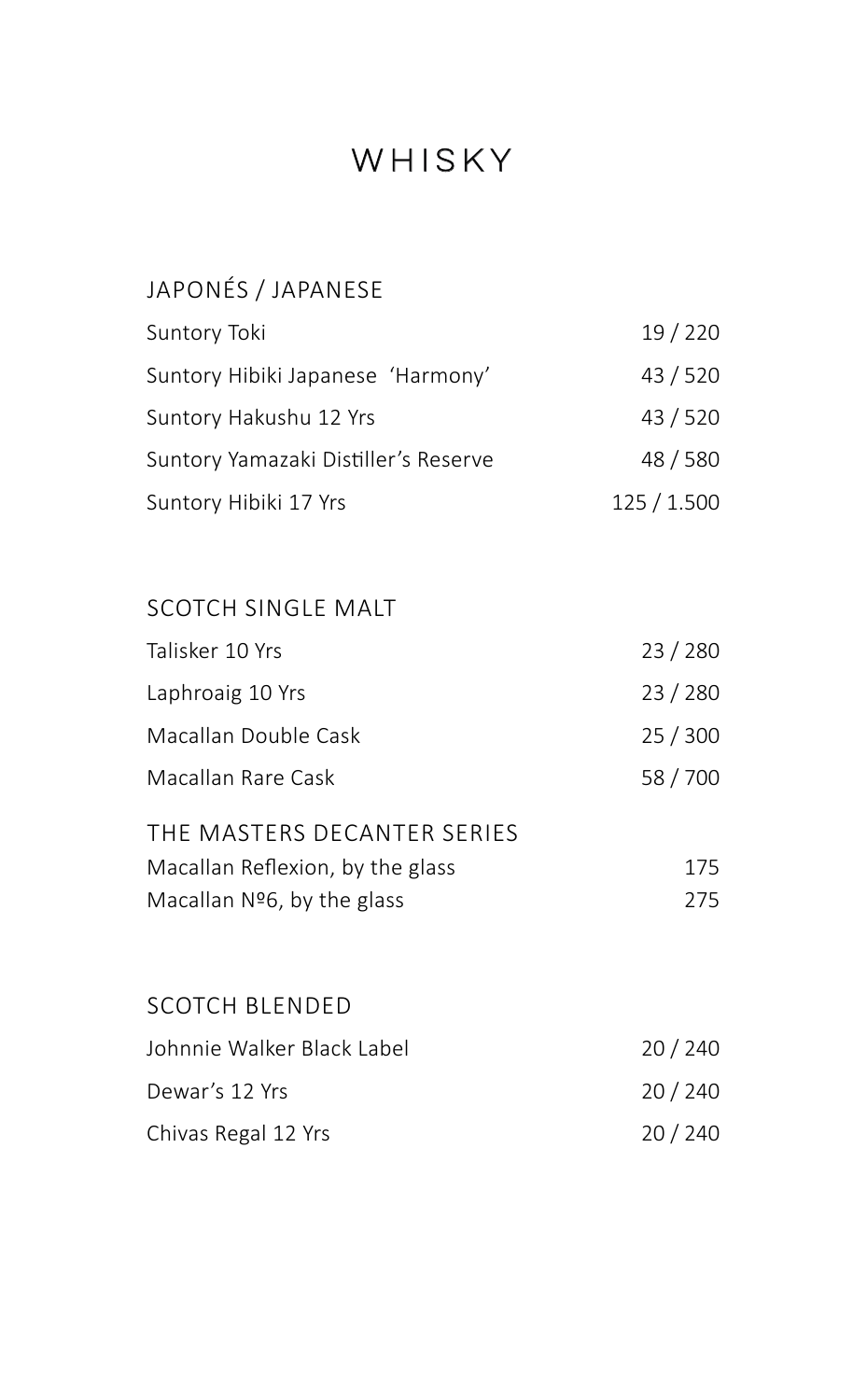## WHISKY

## JAPONÉS / JAPANESE

| Suntory Toki                         | 19/220    |
|--------------------------------------|-----------|
| Suntory Hibiki Japanese 'Harmony'    | 43/520    |
| Suntory Hakushu 12 Yrs               | 43/520    |
| Suntory Yamazaki Distiller's Reserve | 48/580    |
| Suntory Hibiki 17 Yrs                | 125/1.500 |

#### SCOTCH SINGLE MALT

| Talisker 10 Yrs                  | 23/280 |
|----------------------------------|--------|
| Laphroaig 10 Yrs                 | 23/280 |
| Macallan Double Cask             | 25/300 |
| Macallan Rare Cask               | 58/700 |
| THE MASTERS DECANTER SERIES      |        |
| Macallan Reflexion, by the glass | 175    |

Macallan Nº6, by the glass 275

## SCOTCH BLENDED

| Johnnie Walker Black Label | 20/240 |
|----------------------------|--------|
| Dewar's 12 Yrs             | 20/240 |
| Chivas Regal 12 Yrs        | 20/240 |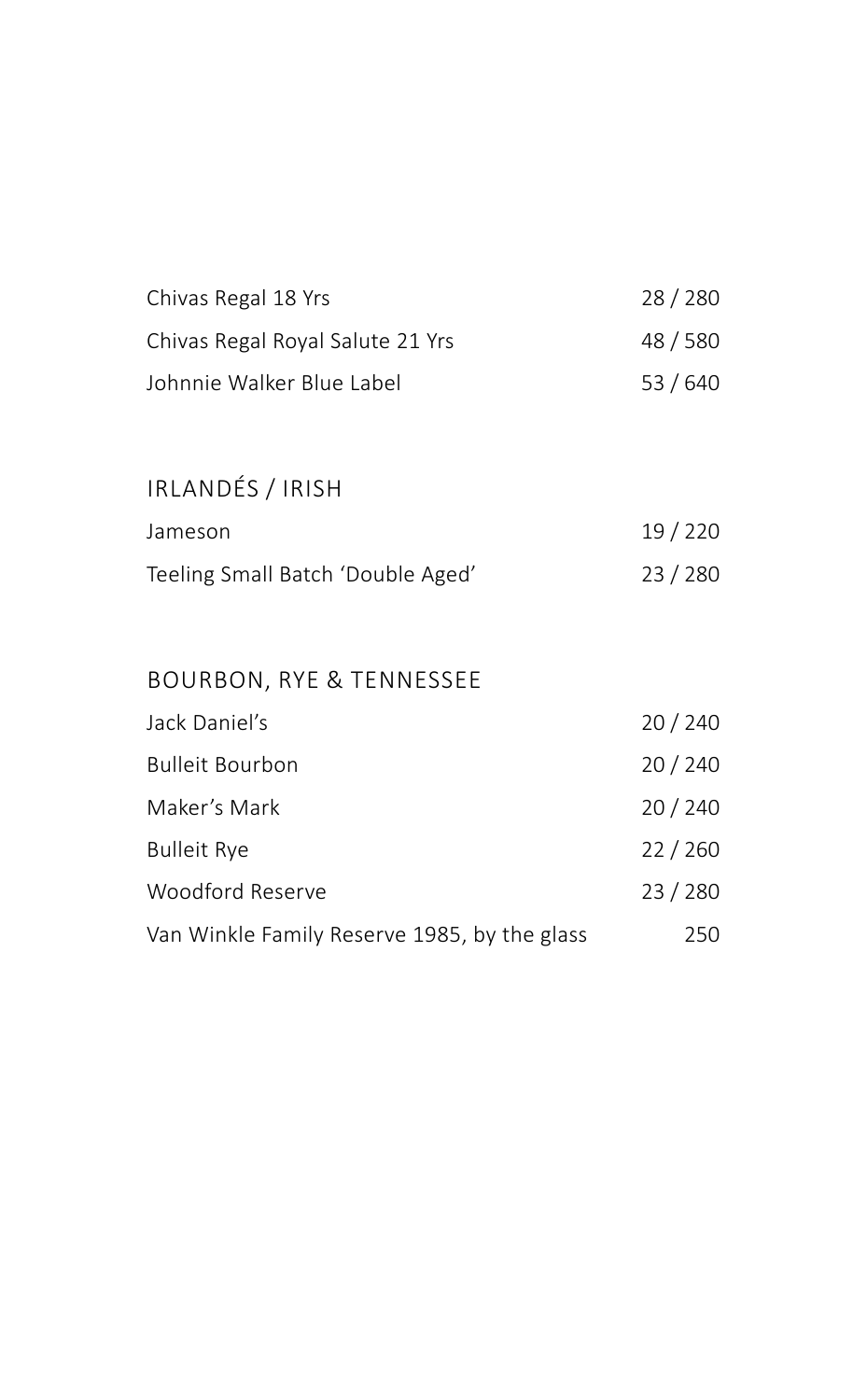| Chivas Regal 18 Yrs              | 28/280 |
|----------------------------------|--------|
| Chivas Regal Royal Salute 21 Yrs | 48/580 |
| Johnnie Walker Blue Label        | 53/640 |

| IRLANDÉS / IRISH                  |        |
|-----------------------------------|--------|
| Jameson                           | 19/220 |
| Teeling Small Batch 'Double Aged' | 23/280 |

#### BOURBON, RYE & TENNESSEE

| Jack Daniel's                                | 20/240 |
|----------------------------------------------|--------|
| <b>Bulleit Bourbon</b>                       | 20/240 |
| Maker's Mark                                 | 20/240 |
| <b>Bulleit Rye</b>                           | 22/260 |
| Woodford Reserve                             | 23/280 |
| Van Winkle Family Reserve 1985, by the glass | 250.   |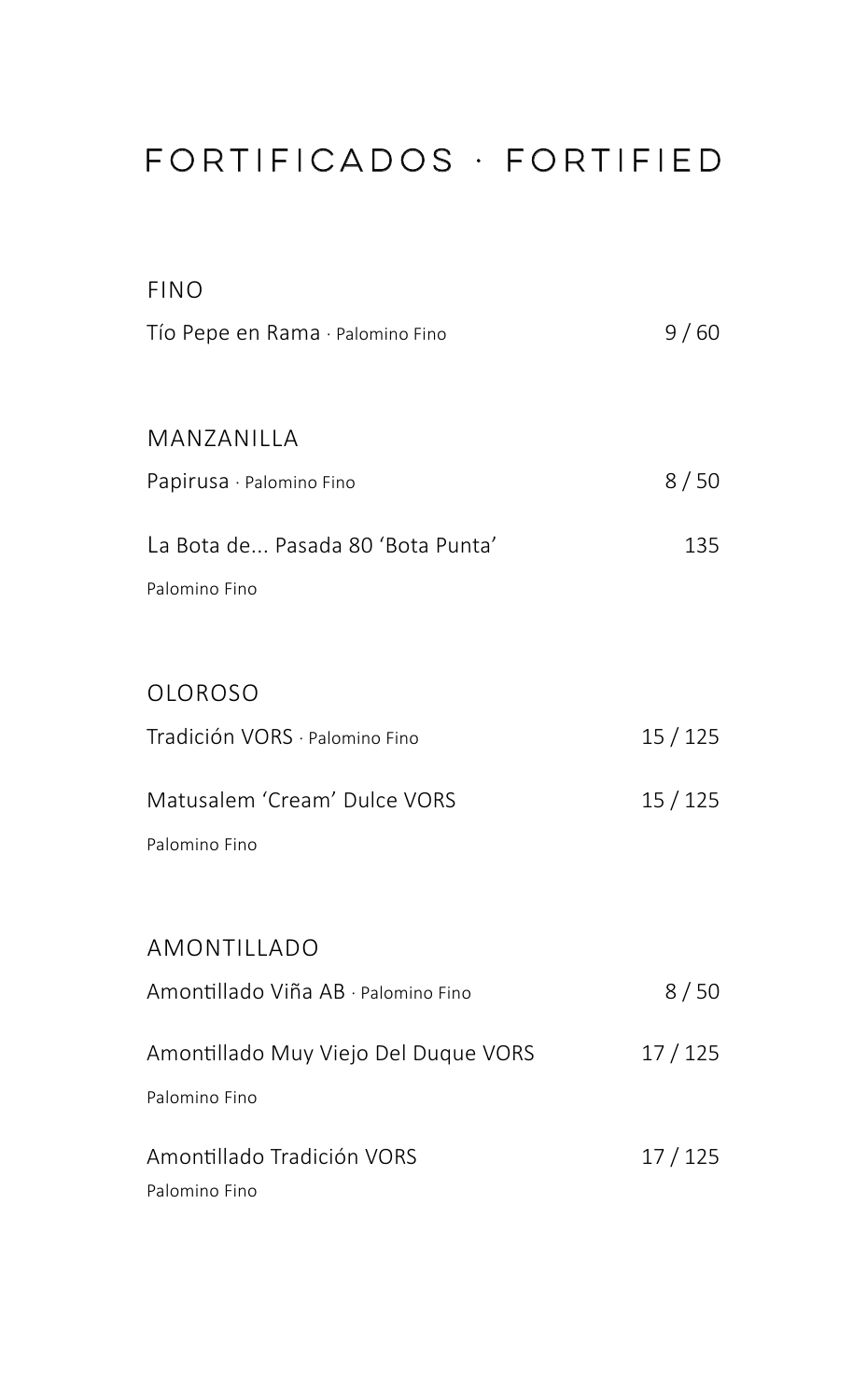# FORTIFICADOS · FORTIFIED

| <b>FINO</b>                                           |          |
|-------------------------------------------------------|----------|
| Tío Pepe en Rama · Palomino Fino                      | 9/60     |
| MANZANILLA                                            |          |
| Papirusa · Palomino Fino                              | 8/50     |
| La Bota de Pasada 80 'Bota Punta'<br>Palomino Fino    | 135      |
| OLOROSO                                               |          |
| Tradición VORS · Palomino Fino                        | 15/125   |
| Matusalem 'Cream' Dulce VORS<br>Palomino Fino         | 15/125   |
| AMONTILLADO                                           |          |
| Amontillado Viña AB · Palomino Fino                   | 8/50     |
| Amontillado Muy Viejo Del Duque VORS<br>Palomino Fino | 17/125   |
| Amontillado Tradición VORS<br>Palomino Fino           | 17 / 125 |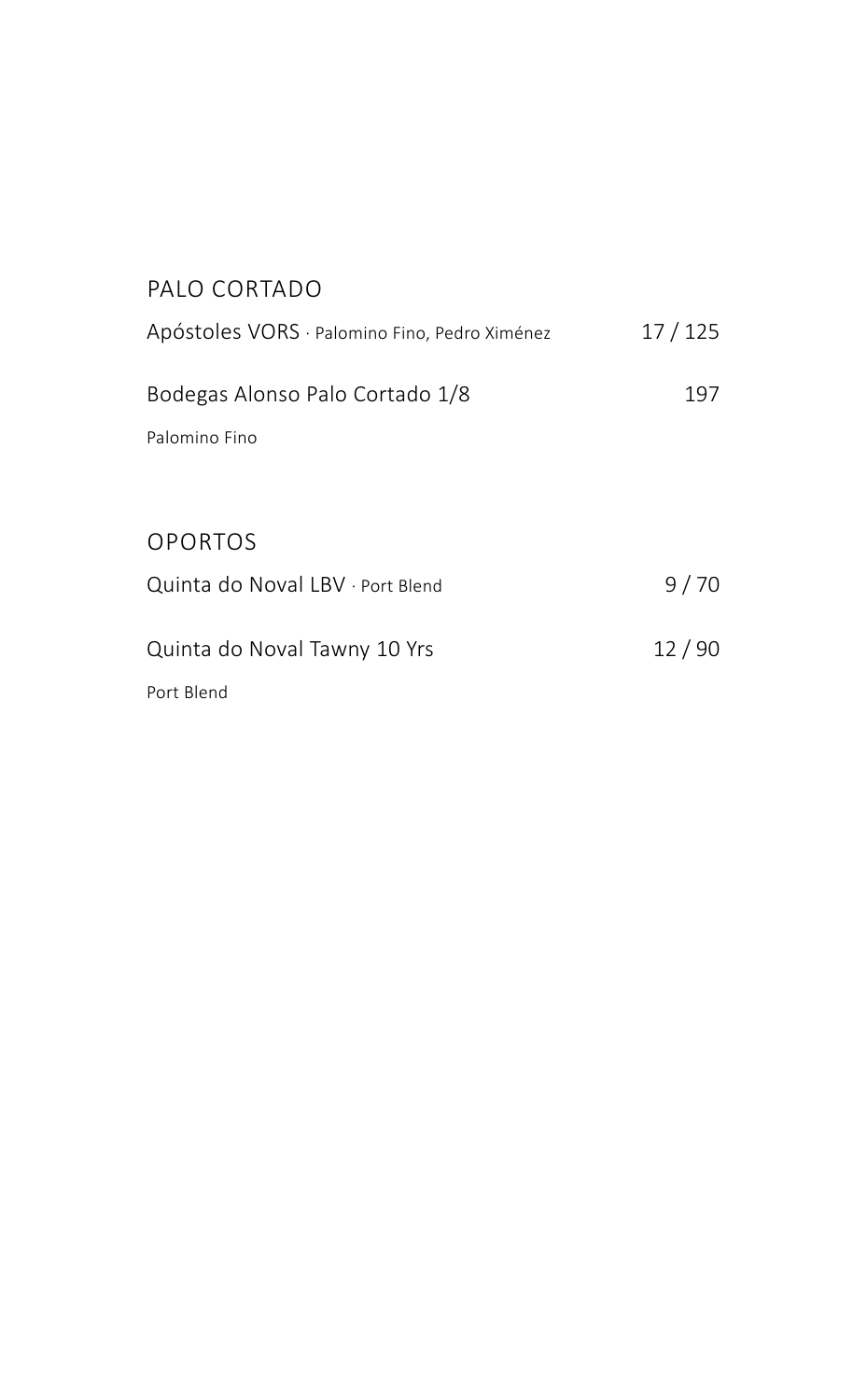#### PALO CORTADO

| Apóstoles VORS · Palomino Fino, Pedro Ximénez | 17/125 |
|-----------------------------------------------|--------|
| Bodegas Alonso Palo Cortado 1/8               | 197    |
| Palomino Fino                                 |        |
|                                               |        |
| <b>OPORTOS</b>                                |        |
| Quinta do Noval LBV · Port Blend              | 9/70   |
| Quinta do Noval Tawny 10 Yrs                  | 12/90  |
| Port Blend                                    |        |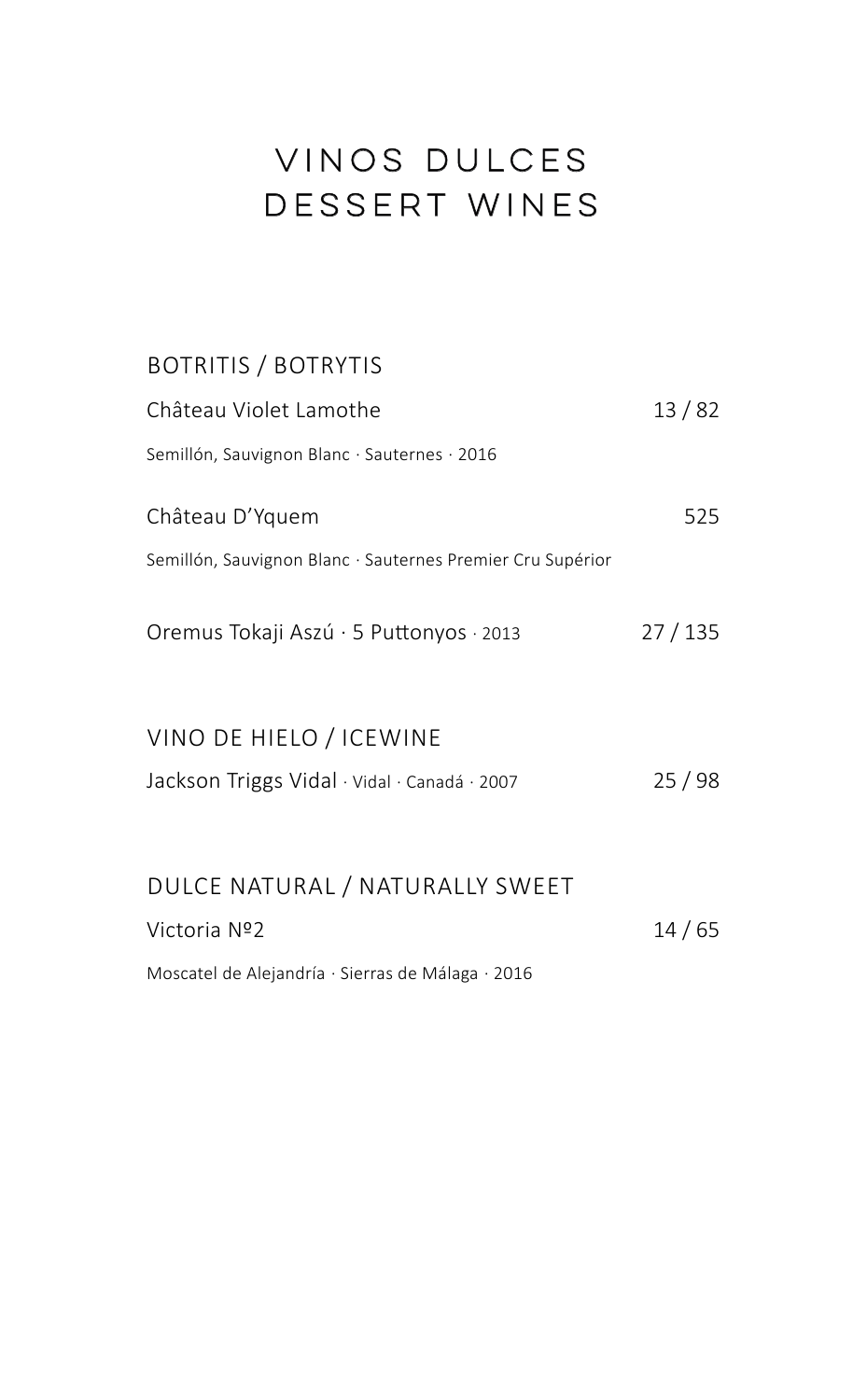# VINOS DULCES DESSERT WINES

| <b>BOTRITIS / BOTRYTIS</b>                                 |         |
|------------------------------------------------------------|---------|
| Château Violet Lamothe                                     | 13/82   |
| Semillón, Sauvignon Blanc · Sauternes · 2016               |         |
| Château D'Yquem                                            | 525     |
| Semillón, Sauvignon Blanc · Sauternes Premier Cru Supérior |         |
| Oremus Tokaji Aszú · 5 Puttonyos · 2013                    | 27/135  |
| VINO DE HIELO / ICEWINE                                    |         |
| Jackson Triggs Vidal · Vidal · Canadá · 2007               | 25/98   |
|                                                            |         |
| DULCE NATURAL / NATURALLY SWEET                            |         |
| Victoria Nº2                                               | 14 / 65 |
| Moscatel de Alejandría · Sierras de Málaga · 2016          |         |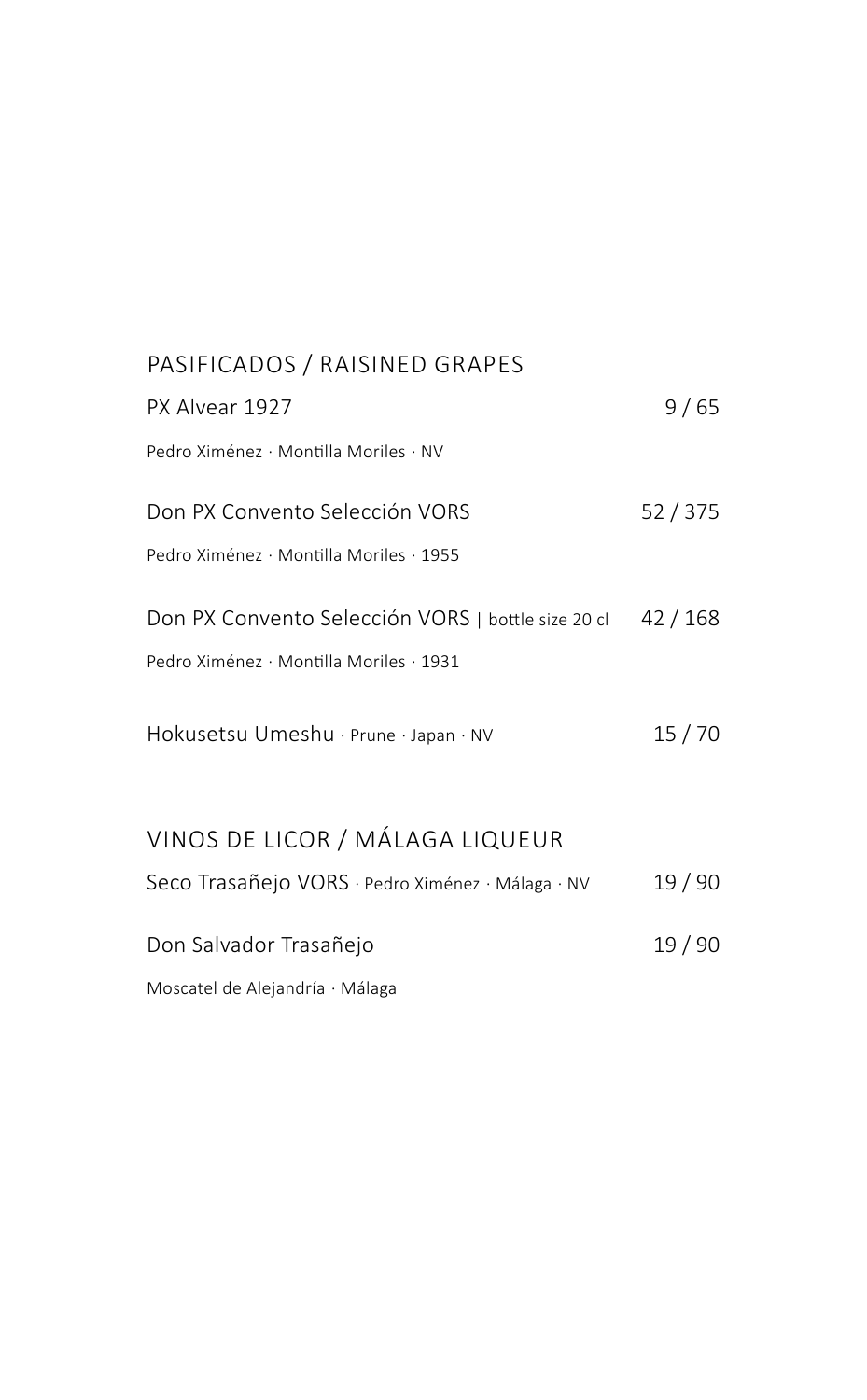| PASIFICADOS / RAISINED GRAPES                               |         |
|-------------------------------------------------------------|---------|
| PX Alvear 1927                                              | 9 / 65  |
| Pedro Ximénez · Montilla Moriles · NV                       |         |
| Don PX Convento Selección VORS                              | 52/375  |
| Pedro Ximénez · Montilla Moriles · 1955                     |         |
| Don PX Convento Selección VORS   bottle size 20 cl 42 / 168 |         |
| Pedro Ximénez - Montilla Moriles - 1931                     |         |
| Hokusetsu Umeshu · Prune · Japan · NV                       | 15/70   |
| VINOS DE LICOR / MÁLAGA LIQUEUR                             |         |
| Seco Trasañejo VORS · Pedro Ximénez · Málaga · NV           | 19/90   |
| Don Salvador Trasañejo                                      | 19 / 90 |

Moscatel de Alejandría · Málaga